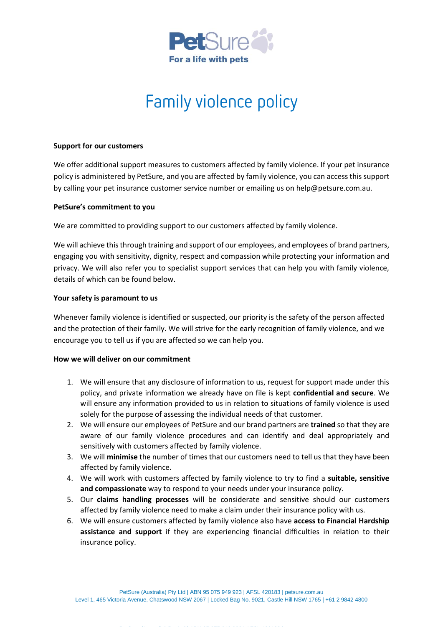

# Family violence policy

## **Support for our customers**

We offer additional support measures to customers affected by family violence. If your pet insurance policy is administered by PetSure, and you are affected by family violence, you can access this support by calling your pet insurance customer service number or emailing us on help@petsure.com.au.

### **PetSure's commitment to you**

We are committed to providing support to our customers affected by family violence.

We will achieve this through training and support of our employees, and employees of brand partners, engaging you with sensitivity, dignity, respect and compassion while protecting your information and privacy. We will also refer you to specialist support services that can help you with family violence, details of which can be found below.

## **Your safety is paramount to us**

Whenever family violence is identified or suspected, our priority is the safety of the person affected and the protection of their family. We will strive for the early recognition of family violence, and we encourage you to tell us if you are affected so we can help you.

## **How we will deliver on our commitment**

- 1. We will ensure that any disclosure of information to us, request for support made under this policy, and private information we already have on file is kept **confidential and secure**. We will ensure any information provided to us in relation to situations of family violence is used solely for the purpose of assessing the individual needs of that customer.
- 2. We will ensure our employees of PetSure and our brand partners are **trained** so that they are aware of our family violence procedures and can identify and deal appropriately and sensitively with customers affected by family violence.
- 3. We will **minimise** the number of times that our customers need to tell us that they have been affected by family violence.
- 4. We will work with customers affected by family violence to try to find a **suitable, sensitive and compassionate** way to respond to your needs under your insurance policy.
- 5. Our **claims handling processes** will be considerate and sensitive should our customers affected by family violence need to make a claim under their insurance policy with us.
- 6. We will ensure customers affected by family violence also have **access to Financial Hardship assistance and support** if they are experiencing financial difficulties in relation to their insurance policy.